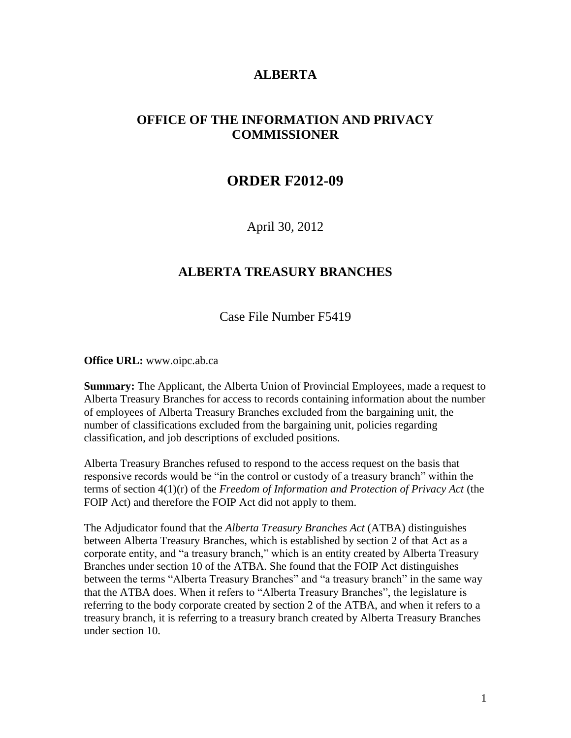## **ALBERTA**

# **OFFICE OF THE INFORMATION AND PRIVACY COMMISSIONER**

# **ORDER F2012-09**

April 30, 2012

## **ALBERTA TREASURY BRANCHES**

Case File Number F5419

**Office URL:** www.oipc.ab.ca

**Summary:** The Applicant, the Alberta Union of Provincial Employees, made a request to Alberta Treasury Branches for access to records containing information about the number of employees of Alberta Treasury Branches excluded from the bargaining unit, the number of classifications excluded from the bargaining unit, policies regarding classification, and job descriptions of excluded positions.

Alberta Treasury Branches refused to respond to the access request on the basis that responsive records would be "in the control or custody of a treasury branch" within the terms of section 4(1)(r) of the *Freedom of Information and Protection of Privacy Act* (the FOIP Act) and therefore the FOIP Act did not apply to them.

The Adjudicator found that the *Alberta Treasury Branches Act* (ATBA) distinguishes between Alberta Treasury Branches, which is established by section 2 of that Act as a corporate entity, and "a treasury branch," which is an entity created by Alberta Treasury Branches under section 10 of the ATBA. She found that the FOIP Act distinguishes between the terms "Alberta Treasury Branches" and "a treasury branch" in the same way that the ATBA does. When it refers to "Alberta Treasury Branches", the legislature is referring to the body corporate created by section 2 of the ATBA, and when it refers to a treasury branch, it is referring to a treasury branch created by Alberta Treasury Branches under section 10.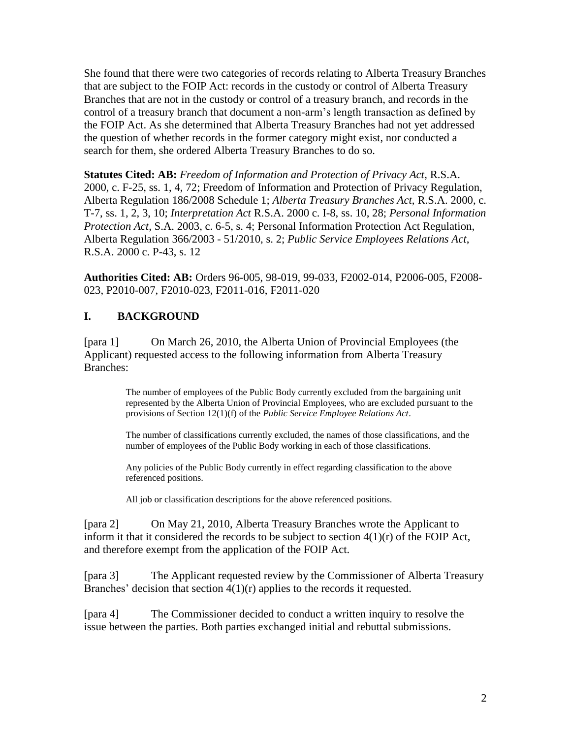She found that there were two categories of records relating to Alberta Treasury Branches that are subject to the FOIP Act: records in the custody or control of Alberta Treasury Branches that are not in the custody or control of a treasury branch, and records in the control of a treasury branch that document a non-arm's length transaction as defined by the FOIP Act. As she determined that Alberta Treasury Branches had not yet addressed the question of whether records in the former category might exist, nor conducted a search for them, she ordered Alberta Treasury Branches to do so.

**Statutes Cited: AB:** *Freedom of Information and Protection of Privacy Act*, R.S.A. 2000, c. F-25, ss. 1, 4, 72; Freedom of Information and Protection of Privacy Regulation, Alberta Regulation 186/2008 Schedule 1; *Alberta Treasury Branches Act*, R.S.A. 2000, c. T-7, ss. 1, 2, 3, 10; *Interpretation Act* R.S.A. 2000 c. I-8, ss. 10, 28; *Personal Information Protection Act,* S.A. 2003, c. 6-5, s. 4; Personal Information Protection Act Regulation, Alberta Regulation 366/2003 - 51/2010, s. 2; *Public Service Employees Relations Act*, R.S.A. 2000 c. P-43, s. 12

**Authorities Cited: AB:** Orders 96-005, 98-019, 99-033, F2002-014, P2006-005, F2008- 023, P2010-007, F2010-023, F2011-016, F2011-020

## **I. BACKGROUND**

[para 1] On March 26, 2010, the Alberta Union of Provincial Employees (the Applicant) requested access to the following information from Alberta Treasury Branches:

> The number of employees of the Public Body currently excluded from the bargaining unit represented by the Alberta Union of Provincial Employees, who are excluded pursuant to the provisions of Section 12(1)(f) of the *Public Service Employee Relations Act*.

> The number of classifications currently excluded, the names of those classifications, and the number of employees of the Public Body working in each of those classifications.

Any policies of the Public Body currently in effect regarding classification to the above referenced positions.

All job or classification descriptions for the above referenced positions.

[para 2] On May 21, 2010, Alberta Treasury Branches wrote the Applicant to inform it that it considered the records to be subject to section  $4(1)(r)$  of the FOIP Act, and therefore exempt from the application of the FOIP Act.

[para 3] The Applicant requested review by the Commissioner of Alberta Treasury Branches' decision that section 4(1)(r) applies to the records it requested.

[para 4] The Commissioner decided to conduct a written inquiry to resolve the issue between the parties. Both parties exchanged initial and rebuttal submissions.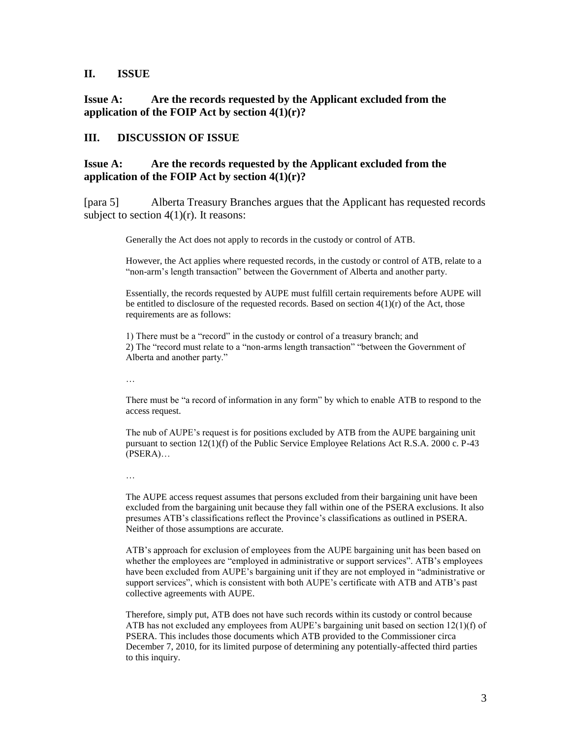#### **II. ISSUE**

### **Issue A: Are the records requested by the Applicant excluded from the application of the FOIP Act by section 4(1)(r)?**

#### **III. DISCUSSION OF ISSUE**

### **Issue A: Are the records requested by the Applicant excluded from the application of the FOIP Act by section 4(1)(r)?**

[para 5] Alberta Treasury Branches argues that the Applicant has requested records subject to section  $4(1)(r)$ . It reasons:

Generally the Act does not apply to records in the custody or control of ATB.

However, the Act applies where requested records, in the custody or control of ATB, relate to a "non-arm's length transaction" between the Government of Alberta and another party.

Essentially, the records requested by AUPE must fulfill certain requirements before AUPE will be entitled to disclosure of the requested records. Based on section  $4(1)(r)$  of the Act, those requirements are as follows:

1) There must be a "record" in the custody or control of a treasury branch; and 2) The "record must relate to a "non-arms length transaction" "between the Government of Alberta and another party."

…

There must be "a record of information in any form" by which to enable ATB to respond to the access request.

The nub of AUPE's request is for positions excluded by ATB from the AUPE bargaining unit pursuant to section 12(1)(f) of the Public Service Employee Relations Act R.S.A. 2000 c. P-43 (PSERA)…

…

The AUPE access request assumes that persons excluded from their bargaining unit have been excluded from the bargaining unit because they fall within one of the PSERA exclusions. It also presumes ATB's classifications reflect the Province's classifications as outlined in PSERA. Neither of those assumptions are accurate.

ATB's approach for exclusion of employees from the AUPE bargaining unit has been based on whether the employees are "employed in administrative or support services". ATB's employees have been excluded from AUPE's bargaining unit if they are not employed in "administrative or support services", which is consistent with both AUPE's certificate with ATB and ATB's past collective agreements with AUPE.

Therefore, simply put, ATB does not have such records within its custody or control because ATB has not excluded any employees from AUPE's bargaining unit based on section 12(1)(f) of PSERA. This includes those documents which ATB provided to the Commissioner circa December 7, 2010, for its limited purpose of determining any potentially-affected third parties to this inquiry.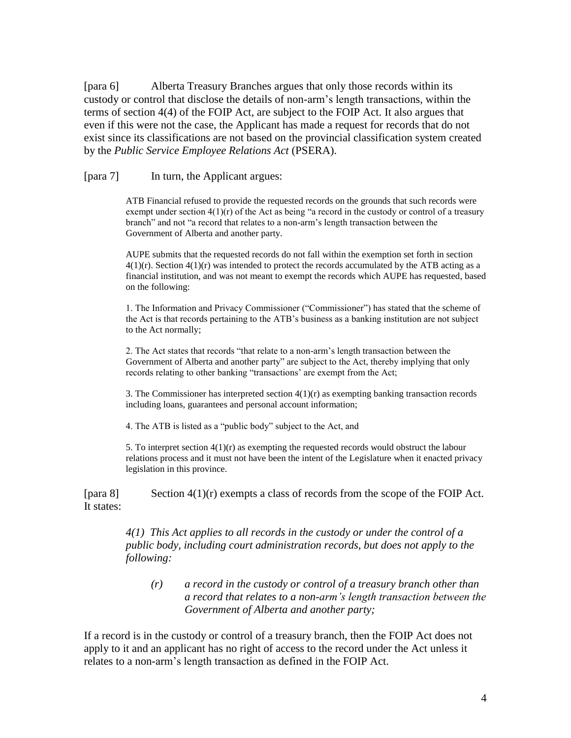[para 6] Alberta Treasury Branches argues that only those records within its custody or control that disclose the details of non-arm's length transactions, within the terms of section 4(4) of the FOIP Act, are subject to the FOIP Act. It also argues that even if this were not the case, the Applicant has made a request for records that do not exist since its classifications are not based on the provincial classification system created by the *Public Service Employee Relations Act* (PSERA).

[para 7] In turn, the Applicant argues:

ATB Financial refused to provide the requested records on the grounds that such records were exempt under section  $4(1)(r)$  of the Act as being "a record in the custody or control of a treasury branch" and not "a record that relates to a non-arm's length transaction between the Government of Alberta and another party.

AUPE submits that the requested records do not fall within the exemption set forth in section  $4(1)(r)$ . Section  $4(1)(r)$  was intended to protect the records accumulated by the ATB acting as a financial institution, and was not meant to exempt the records which AUPE has requested, based on the following:

1. The Information and Privacy Commissioner ("Commissioner") has stated that the scheme of the Act is that records pertaining to the ATB's business as a banking institution are not subject to the Act normally;

2. The Act states that records "that relate to a non-arm's length transaction between the Government of Alberta and another party" are subject to the Act, thereby implying that only records relating to other banking "transactions' are exempt from the Act;

3. The Commissioner has interpreted section  $4(1)(r)$  as exempting banking transaction records including loans, guarantees and personal account information;

4. The ATB is listed as a "public body" subject to the Act, and

5. To interpret section 4(1)(r) as exempting the requested records would obstruct the labour relations process and it must not have been the intent of the Legislature when it enacted privacy legislation in this province.

[para 8] Section  $4(1)(r)$  exempts a class of records from the scope of the FOIP Act. It states:

> *4(1) This Act applies to all records in the custody or under the control of a public body, including court administration records, but does not apply to the following:*

*(r) a record in the custody or control of a treasury branch other than a record that relates to a non-arm's length transaction between the Government of Alberta and another party;* 

If a record is in the custody or control of a treasury branch, then the FOIP Act does not apply to it and an applicant has no right of access to the record under the Act unless it relates to a non-arm's length transaction as defined in the FOIP Act.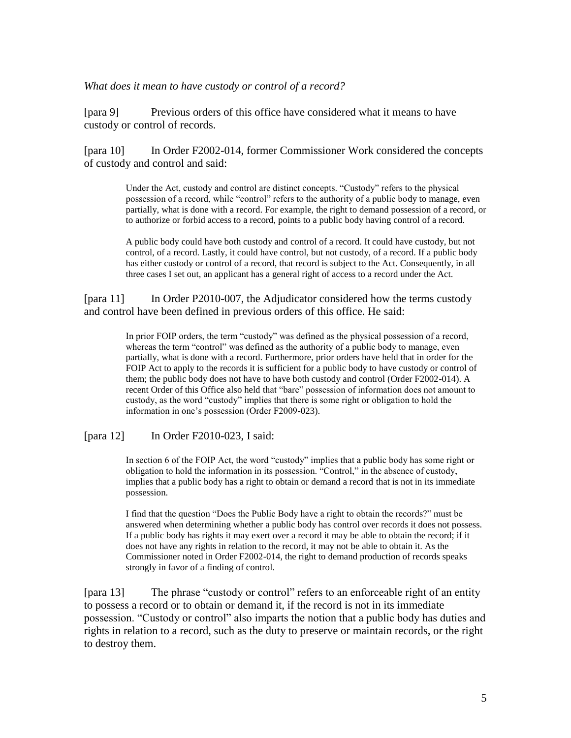*What does it mean to have custody or control of a record?*

[para 9] Previous orders of this office have considered what it means to have custody or control of records.

[para 10] In Order F2002-014, former Commissioner Work considered the concepts of custody and control and said:

> Under the Act, custody and control are distinct concepts. "Custody" refers to the physical possession of a record, while "control" refers to the authority of a public body to manage, even partially, what is done with a record. For example, the right to demand possession of a record, or to authorize or forbid access to a record, points to a public body having control of a record.

A public body could have both custody and control of a record. It could have custody, but not control, of a record. Lastly, it could have control, but not custody, of a record. If a public body has either custody or control of a record, that record is subject to the Act. Consequently, in all three cases I set out, an applicant has a general right of access to a record under the Act.

[para 11] In Order P2010-007, the Adjudicator considered how the terms custody and control have been defined in previous orders of this office. He said:

> In prior FOIP orders, the term "custody" was defined as the physical possession of a record, whereas the term "control" was defined as the authority of a public body to manage, even partially, what is done with a record. Furthermore, prior orders have held that in order for the FOIP Act to apply to the records it is sufficient for a public body to have custody or control of them; the public body does not have to have both custody and control (Order F2002-014). A recent Order of this Office also held that "bare" possession of information does not amount to custody, as the word "custody" implies that there is some right or obligation to hold the information in one's possession (Order F2009-023).

[para 12] In Order F2010-023, I said:

In section 6 of the FOIP Act, the word "custody" implies that a public body has some right or obligation to hold the information in its possession. "Control," in the absence of custody, implies that a public body has a right to obtain or demand a record that is not in its immediate possession.

I find that the question "Does the Public Body have a right to obtain the records?" must be answered when determining whether a public body has control over records it does not possess. If a public body has rights it may exert over a record it may be able to obtain the record; if it does not have any rights in relation to the record, it may not be able to obtain it. As the Commissioner noted in Order F2002-014, the right to demand production of records speaks strongly in favor of a finding of control.

[para 13] The phrase "custody or control" refers to an enforceable right of an entity to possess a record or to obtain or demand it, if the record is not in its immediate possession. "Custody or control" also imparts the notion that a public body has duties and rights in relation to a record, such as the duty to preserve or maintain records, or the right to destroy them.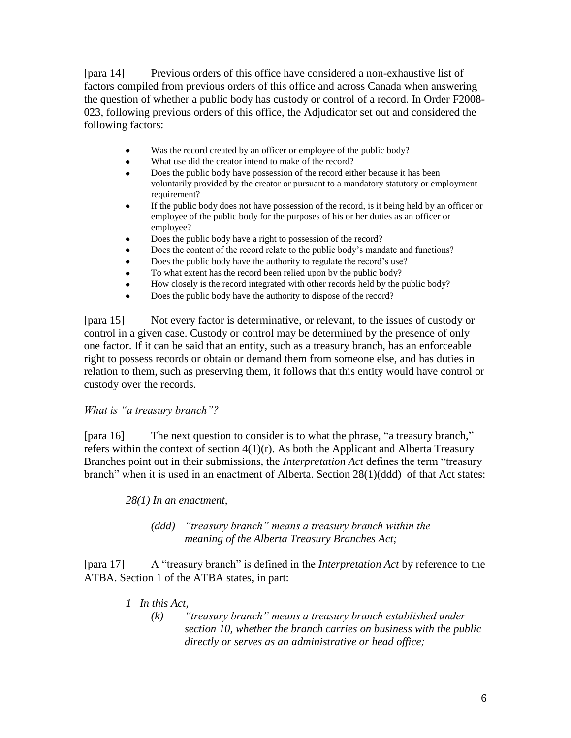[para 14] Previous orders of this office have considered a non-exhaustive list of factors compiled from previous orders of this office and across Canada when answering the question of whether a public body has custody or control of a record. In Order F2008- 023, following previous orders of this office, the Adjudicator set out and considered the following factors:

- Was the record created by an officer or employee of the public body?
- What use did the creator intend to make of the record?  $\bullet$
- Does the public body have possession of the record either because it has been  $\bullet$ voluntarily provided by the creator or pursuant to a mandatory statutory or employment requirement?
- If the public body does not have possession of the record, is it being held by an officer or employee of the public body for the purposes of his or her duties as an officer or employee?
- Does the public body have a right to possession of the record?
- Does the content of the record relate to the public body's mandate and functions?
- Does the public body have the authority to regulate the record's use?
- To what extent has the record been relied upon by the public body?
- How closely is the record integrated with other records held by the public body?  $\bullet$
- Does the public body have the authority to dispose of the record?

[para 15] Not every factor is determinative, or relevant, to the issues of custody or control in a given case. Custody or control may be determined by the presence of only one factor. If it can be said that an entity, such as a treasury branch, has an enforceable right to possess records or obtain or demand them from someone else, and has duties in relation to them, such as preserving them, it follows that this entity would have control or custody over the records.

## *What is "a treasury branch"?*

[para 16] The next question to consider is to what the phrase, "a treasury branch," refers within the context of section  $4(1)(r)$ . As both the Applicant and Alberta Treasury Branches point out in their submissions, the *Interpretation Act* defines the term "treasury branch" when it is used in an enactment of Alberta. Section 28(1)(ddd) of that Act states:

*28(1) In an enactment,*

*(ddd) "treasury branch" means a treasury branch within the meaning of the Alberta Treasury Branches Act;*

[para 17] A "treasury branch" is defined in the *Interpretation Act* by reference to the ATBA. Section 1 of the ATBA states, in part:

- *1 In this Act,* 
	- *(k) "treasury branch" means a treasury branch established under section 10, whether the branch carries on business with the public directly or serves as an administrative or head office;*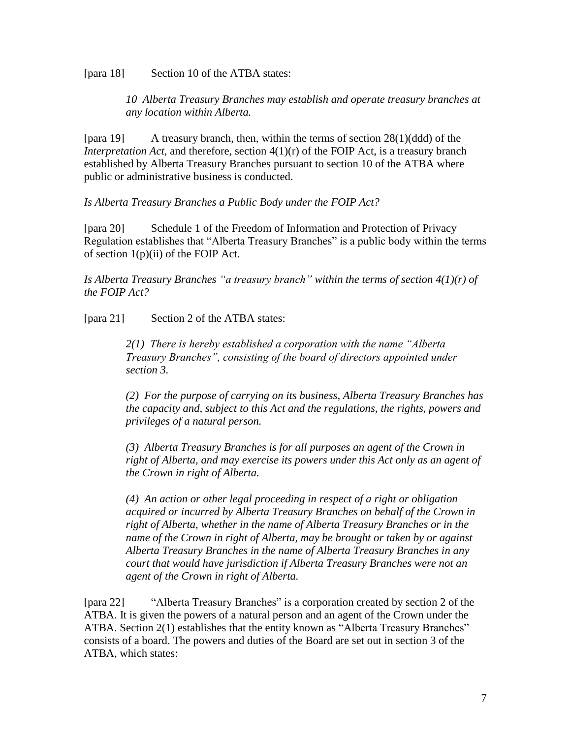[para 18] Section 10 of the ATBA states:

*10 Alberta Treasury Branches may establish and operate treasury branches at any location within Alberta.*

[para 19] A treasury branch, then, within the terms of section 28(1)(ddd) of the *Interpretation Act*, and therefore, section 4(1)(r) of the FOIP Act, is a treasury branch established by Alberta Treasury Branches pursuant to section 10 of the ATBA where public or administrative business is conducted.

*Is Alberta Treasury Branches a Public Body under the FOIP Act?*

[para 20] Schedule 1 of the Freedom of Information and Protection of Privacy Regulation establishes that "Alberta Treasury Branches" is a public body within the terms of section 1(p)(ii) of the FOIP Act.

*Is Alberta Treasury Branches "a treasury branch" within the terms of section 4(1)(r) of the FOIP Act?*

[para 21] Section 2 of the ATBA states:

*2(1) There is hereby established a corporation with the name "Alberta Treasury Branches", consisting of the board of directors appointed under section 3.*

*(2) For the purpose of carrying on its business, Alberta Treasury Branches has the capacity and, subject to this Act and the regulations, the rights, powers and privileges of a natural person.*

*(3) Alberta Treasury Branches is for all purposes an agent of the Crown in right of Alberta, and may exercise its powers under this Act only as an agent of the Crown in right of Alberta.*

*(4) An action or other legal proceeding in respect of a right or obligation acquired or incurred by Alberta Treasury Branches on behalf of the Crown in right of Alberta, whether in the name of Alberta Treasury Branches or in the name of the Crown in right of Alberta, may be brought or taken by or against Alberta Treasury Branches in the name of Alberta Treasury Branches in any court that would have jurisdiction if Alberta Treasury Branches were not an agent of the Crown in right of Alberta.*

[para 22] "Alberta Treasury Branches" is a corporation created by section 2 of the ATBA. It is given the powers of a natural person and an agent of the Crown under the ATBA. Section 2(1) establishes that the entity known as "Alberta Treasury Branches" consists of a board. The powers and duties of the Board are set out in section 3 of the ATBA, which states: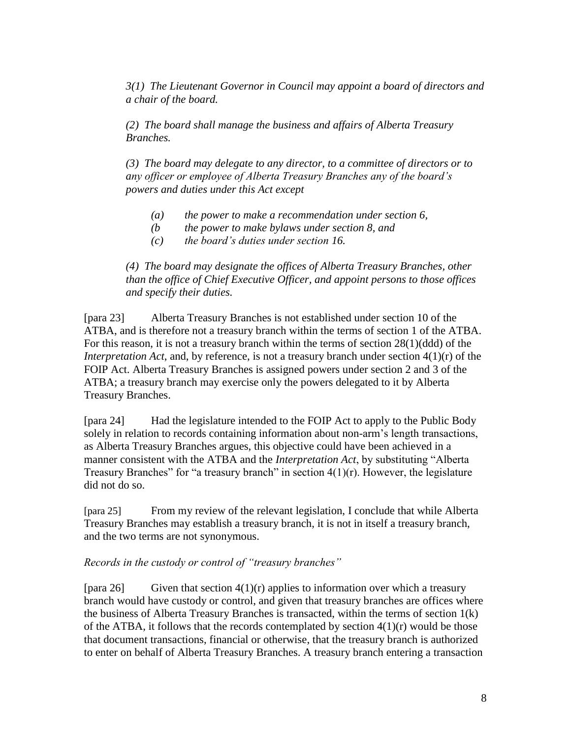*3(1) The Lieutenant Governor in Council may appoint a board of directors and a chair of the board.*

*(2) The board shall manage the business and affairs of Alberta Treasury Branches.*

*(3) The board may delegate to any director, to a committee of directors or to any officer or employee of Alberta Treasury Branches any of the board's powers and duties under this Act except*

- *(a) the power to make a recommendation under section 6,*
- *(b the power to make bylaws under section 8, and*
- *(c) the board's duties under section 16.*

*(4) The board may designate the offices of Alberta Treasury Branches, other than the office of Chief Executive Officer, and appoint persons to those offices and specify their duties.*

[para 23] Alberta Treasury Branches is not established under section 10 of the ATBA, and is therefore not a treasury branch within the terms of section 1 of the ATBA. For this reason, it is not a treasury branch within the terms of section 28(1)(ddd) of the *Interpretation Act*, and, by reference, is not a treasury branch under section 4(1)(r) of the FOIP Act. Alberta Treasury Branches is assigned powers under section 2 and 3 of the ATBA; a treasury branch may exercise only the powers delegated to it by Alberta Treasury Branches.

[para 24] Had the legislature intended to the FOIP Act to apply to the Public Body solely in relation to records containing information about non-arm's length transactions, as Alberta Treasury Branches argues, this objective could have been achieved in a manner consistent with the ATBA and the *Interpretation Act*, by substituting "Alberta Treasury Branches" for "a treasury branch" in section  $4(1)(r)$ . However, the legislature did not do so.

[para 25] From my review of the relevant legislation, I conclude that while Alberta Treasury Branches may establish a treasury branch, it is not in itself a treasury branch, and the two terms are not synonymous.

### *Records in the custody or control of "treasury branches"*

[para 26] Given that section  $4(1)(r)$  applies to information over which a treasury branch would have custody or control, and given that treasury branches are offices where the business of Alberta Treasury Branches is transacted, within the terms of section 1(k) of the ATBA, it follows that the records contemplated by section  $4(1)(r)$  would be those that document transactions, financial or otherwise, that the treasury branch is authorized to enter on behalf of Alberta Treasury Branches. A treasury branch entering a transaction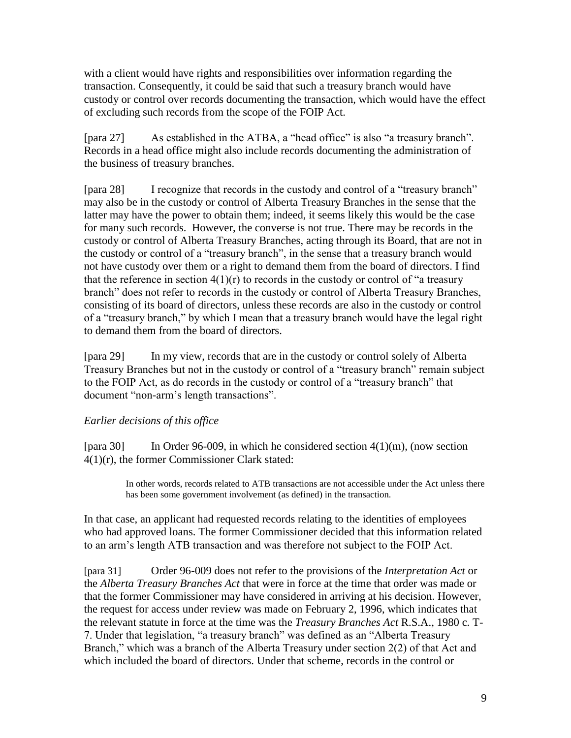with a client would have rights and responsibilities over information regarding the transaction. Consequently, it could be said that such a treasury branch would have custody or control over records documenting the transaction, which would have the effect of excluding such records from the scope of the FOIP Act.

[para 27] As established in the ATBA, a "head office" is also "a treasury branch". Records in a head office might also include records documenting the administration of the business of treasury branches.

[para 28] I recognize that records in the custody and control of a "treasury branch" may also be in the custody or control of Alberta Treasury Branches in the sense that the latter may have the power to obtain them; indeed, it seems likely this would be the case for many such records. However, the converse is not true. There may be records in the custody or control of Alberta Treasury Branches, acting through its Board, that are not in the custody or control of a "treasury branch", in the sense that a treasury branch would not have custody over them or a right to demand them from the board of directors. I find that the reference in section  $4(1)(r)$  to records in the custody or control of "a treasury branch" does not refer to records in the custody or control of Alberta Treasury Branches, consisting of its board of directors, unless these records are also in the custody or control of a "treasury branch," by which I mean that a treasury branch would have the legal right to demand them from the board of directors.

[para 29] In my view, records that are in the custody or control solely of Alberta Treasury Branches but not in the custody or control of a "treasury branch" remain subject to the FOIP Act, as do records in the custody or control of a "treasury branch" that document "non-arm's length transactions".

# *Earlier decisions of this office*

[para 30] In Order 96-009, in which he considered section 4(1)(m), (now section 4(1)(r), the former Commissioner Clark stated:

> In other words, records related to ATB transactions are not accessible under the Act unless there has been some government involvement (as defined) in the transaction.

In that case, an applicant had requested records relating to the identities of employees who had approved loans. The former Commissioner decided that this information related to an arm's length ATB transaction and was therefore not subject to the FOIP Act.

[para 31] Order 96-009 does not refer to the provisions of the *Interpretation Act* or the *Alberta Treasury Branches Act* that were in force at the time that order was made or that the former Commissioner may have considered in arriving at his decision. However, the request for access under review was made on February 2, 1996, which indicates that the relevant statute in force at the time was the *Treasury Branches Act* R.S.A., 1980 c. T-7. Under that legislation, "a treasury branch" was defined as an "Alberta Treasury Branch," which was a branch of the Alberta Treasury under section 2(2) of that Act and which included the board of directors. Under that scheme, records in the control or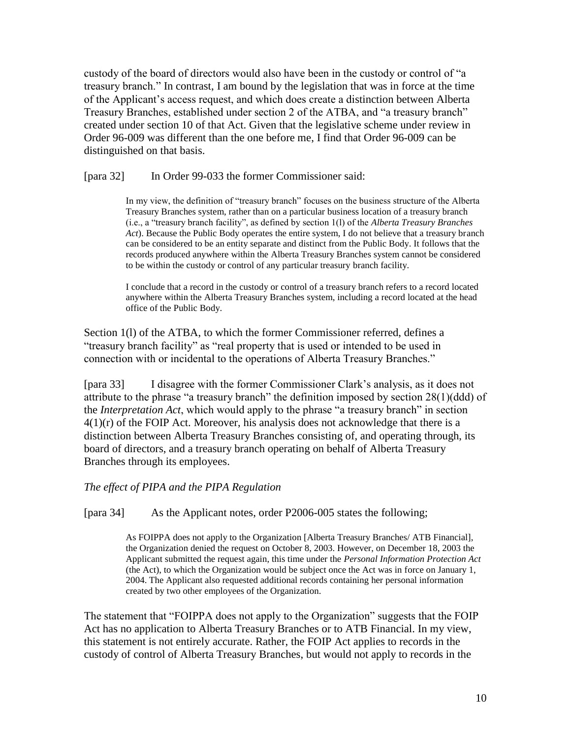custody of the board of directors would also have been in the custody or control of "a treasury branch." In contrast, I am bound by the legislation that was in force at the time of the Applicant's access request, and which does create a distinction between Alberta Treasury Branches, established under section 2 of the ATBA, and "a treasury branch" created under section 10 of that Act. Given that the legislative scheme under review in Order 96-009 was different than the one before me, I find that Order 96-009 can be distinguished on that basis.

[para 32] In Order 99-033 the former Commissioner said:

In my view, the definition of "treasury branch" focuses on the business structure of the Alberta Treasury Branches system, rather than on a particular business location of a treasury branch (i.e., a "treasury branch facility", as defined by section 1(l) of the *Alberta Treasury Branches Act*). Because the Public Body operates the entire system, I do not believe that a treasury branch can be considered to be an entity separate and distinct from the Public Body. It follows that the records produced anywhere within the Alberta Treasury Branches system cannot be considered to be within the custody or control of any particular treasury branch facility.

I conclude that a record in the custody or control of a treasury branch refers to a record located anywhere within the Alberta Treasury Branches system, including a record located at the head office of the Public Body.

Section 1(l) of the ATBA, to which the former Commissioner referred, defines a "treasury branch facility" as "real property that is used or intended to be used in connection with or incidental to the operations of Alberta Treasury Branches."

[para 33] I disagree with the former Commissioner Clark's analysis, as it does not attribute to the phrase "a treasury branch" the definition imposed by section 28(1)(ddd) of the *Interpretation Act*, which would apply to the phrase "a treasury branch" in section  $4(1)(r)$  of the FOIP Act. Moreover, his analysis does not acknowledge that there is a distinction between Alberta Treasury Branches consisting of, and operating through, its board of directors, and a treasury branch operating on behalf of Alberta Treasury Branches through its employees.

### *The effect of PIPA and the PIPA Regulation*

[para 34] As the Applicant notes, order P2006-005 states the following;

As FOIPPA does not apply to the Organization [Alberta Treasury Branches/ ATB Financial], the Organization denied the request on October 8, 2003. However, on December 18, 2003 the Applicant submitted the request again, this time under the *Personal Information Protection Act* (the Act), to which the Organization would be subject once the Act was in force on January 1, 2004. The Applicant also requested additional records containing her personal information created by two other employees of the Organization.

The statement that "FOIPPA does not apply to the Organization" suggests that the FOIP Act has no application to Alberta Treasury Branches or to ATB Financial. In my view, this statement is not entirely accurate. Rather, the FOIP Act applies to records in the custody of control of Alberta Treasury Branches, but would not apply to records in the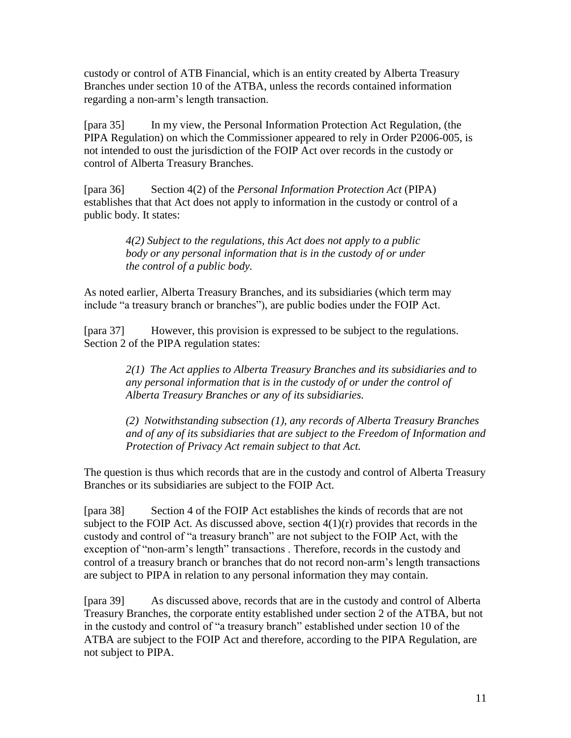custody or control of ATB Financial, which is an entity created by Alberta Treasury Branches under section 10 of the ATBA, unless the records contained information regarding a non-arm's length transaction.

[para 35] In my view, the Personal Information Protection Act Regulation, (the PIPA Regulation) on which the Commissioner appeared to rely in Order P2006-005, is not intended to oust the jurisdiction of the FOIP Act over records in the custody or control of Alberta Treasury Branches.

[para 36] Section 4(2) of the *Personal Information Protection Act* (PIPA) establishes that that Act does not apply to information in the custody or control of a public body. It states:

> *4(2) Subject to the regulations, this Act does not apply to a public body or any personal information that is in the custody of or under the control of a public body.*

As noted earlier, Alberta Treasury Branches, and its subsidiaries (which term may include "a treasury branch or branches"), are public bodies under the FOIP Act.

[para 37] However, this provision is expressed to be subject to the regulations. Section 2 of the PIPA regulation states:

> *2(1) The Act applies to Alberta Treasury Branches and its subsidiaries and to any personal information that is in the custody of or under the control of Alberta Treasury Branches or any of its subsidiaries.*

*(2) Notwithstanding subsection (1), any records of Alberta Treasury Branches and of any of its subsidiaries that are subject to the Freedom of Information and Protection of Privacy Act remain subject to that Act.*

The question is thus which records that are in the custody and control of Alberta Treasury Branches or its subsidiaries are subject to the FOIP Act.

[para 38] Section 4 of the FOIP Act establishes the kinds of records that are not subject to the FOIP Act. As discussed above, section  $4(1)(r)$  provides that records in the custody and control of "a treasury branch" are not subject to the FOIP Act, with the exception of "non-arm's length" transactions . Therefore, records in the custody and control of a treasury branch or branches that do not record non-arm's length transactions are subject to PIPA in relation to any personal information they may contain.

[para 39] As discussed above, records that are in the custody and control of Alberta Treasury Branches, the corporate entity established under section 2 of the ATBA, but not in the custody and control of "a treasury branch" established under section 10 of the ATBA are subject to the FOIP Act and therefore, according to the PIPA Regulation, are not subject to PIPA.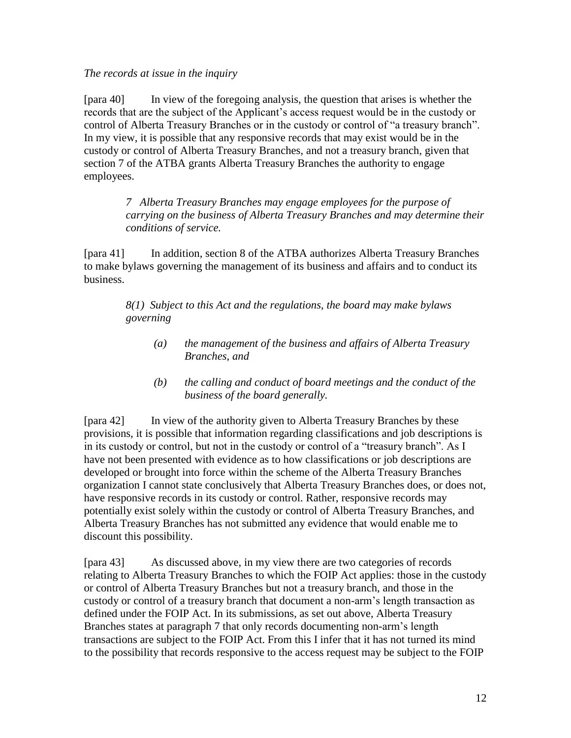### *The records at issue in the inquiry*

[para 40] In view of the foregoing analysis, the question that arises is whether the records that are the subject of the Applicant's access request would be in the custody or control of Alberta Treasury Branches or in the custody or control of "a treasury branch". In my view, it is possible that any responsive records that may exist would be in the custody or control of Alberta Treasury Branches, and not a treasury branch, given that section 7 of the ATBA grants Alberta Treasury Branches the authority to engage employees.

*7 Alberta Treasury Branches may engage employees for the purpose of carrying on the business of Alberta Treasury Branches and may determine their conditions of service.*

[para 41] In addition, section 8 of the ATBA authorizes Alberta Treasury Branches to make bylaws governing the management of its business and affairs and to conduct its business.

> *8(1) Subject to this Act and the regulations, the board may make bylaws governing*

- *(a) the management of the business and affairs of Alberta Treasury Branches, and*
- *(b) the calling and conduct of board meetings and the conduct of the business of the board generally.*

[para 42] In view of the authority given to Alberta Treasury Branches by these provisions, it is possible that information regarding classifications and job descriptions is in its custody or control, but not in the custody or control of a "treasury branch". As I have not been presented with evidence as to how classifications or job descriptions are developed or brought into force within the scheme of the Alberta Treasury Branches organization I cannot state conclusively that Alberta Treasury Branches does, or does not, have responsive records in its custody or control. Rather, responsive records may potentially exist solely within the custody or control of Alberta Treasury Branches, and Alberta Treasury Branches has not submitted any evidence that would enable me to discount this possibility.

[para 43] As discussed above, in my view there are two categories of records relating to Alberta Treasury Branches to which the FOIP Act applies: those in the custody or control of Alberta Treasury Branches but not a treasury branch, and those in the custody or control of a treasury branch that document a non-arm's length transaction as defined under the FOIP Act. In its submissions, as set out above, Alberta Treasury Branches states at paragraph 7 that only records documenting non-arm's length transactions are subject to the FOIP Act. From this I infer that it has not turned its mind to the possibility that records responsive to the access request may be subject to the FOIP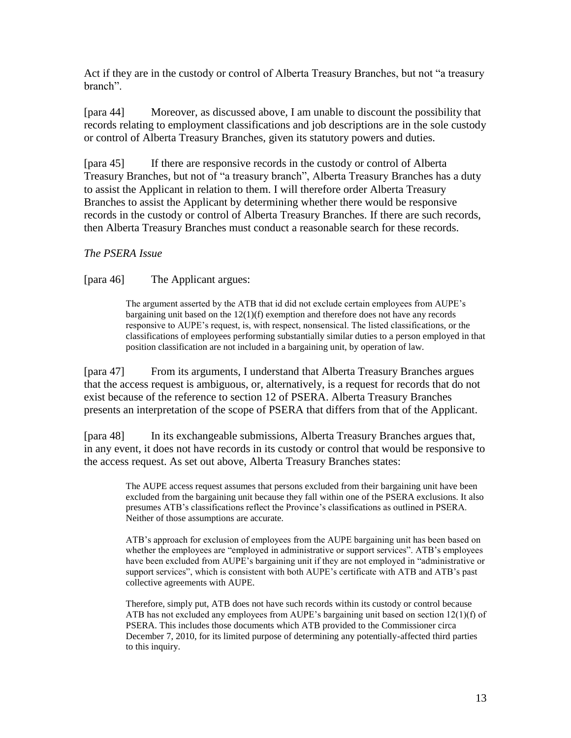Act if they are in the custody or control of Alberta Treasury Branches, but not "a treasury branch".

[para 44] Moreover, as discussed above, I am unable to discount the possibility that records relating to employment classifications and job descriptions are in the sole custody or control of Alberta Treasury Branches, given its statutory powers and duties.

[para 45] If there are responsive records in the custody or control of Alberta Treasury Branches, but not of "a treasury branch", Alberta Treasury Branches has a duty to assist the Applicant in relation to them. I will therefore order Alberta Treasury Branches to assist the Applicant by determining whether there would be responsive records in the custody or control of Alberta Treasury Branches. If there are such records, then Alberta Treasury Branches must conduct a reasonable search for these records.

## *The PSERA Issue*

## [para 46] The Applicant argues:

The argument asserted by the ATB that id did not exclude certain employees from AUPE's bargaining unit based on the  $12(1)(f)$  exemption and therefore does not have any records responsive to AUPE's request, is, with respect, nonsensical. The listed classifications, or the classifications of employees performing substantially similar duties to a person employed in that position classification are not included in a bargaining unit, by operation of law.

[para 47] From its arguments, I understand that Alberta Treasury Branches argues that the access request is ambiguous, or, alternatively, is a request for records that do not exist because of the reference to section 12 of PSERA. Alberta Treasury Branches presents an interpretation of the scope of PSERA that differs from that of the Applicant.

[para 48] In its exchangeable submissions, Alberta Treasury Branches argues that, in any event, it does not have records in its custody or control that would be responsive to the access request. As set out above, Alberta Treasury Branches states:

> The AUPE access request assumes that persons excluded from their bargaining unit have been excluded from the bargaining unit because they fall within one of the PSERA exclusions. It also presumes ATB's classifications reflect the Province's classifications as outlined in PSERA. Neither of those assumptions are accurate.

> ATB's approach for exclusion of employees from the AUPE bargaining unit has been based on whether the employees are "employed in administrative or support services". ATB's employees have been excluded from AUPE's bargaining unit if they are not employed in "administrative or support services", which is consistent with both AUPE's certificate with ATB and ATB's past collective agreements with AUPE.

> Therefore, simply put, ATB does not have such records within its custody or control because ATB has not excluded any employees from AUPE's bargaining unit based on section 12(1)(f) of PSERA. This includes those documents which ATB provided to the Commissioner circa December 7, 2010, for its limited purpose of determining any potentially-affected third parties to this inquiry.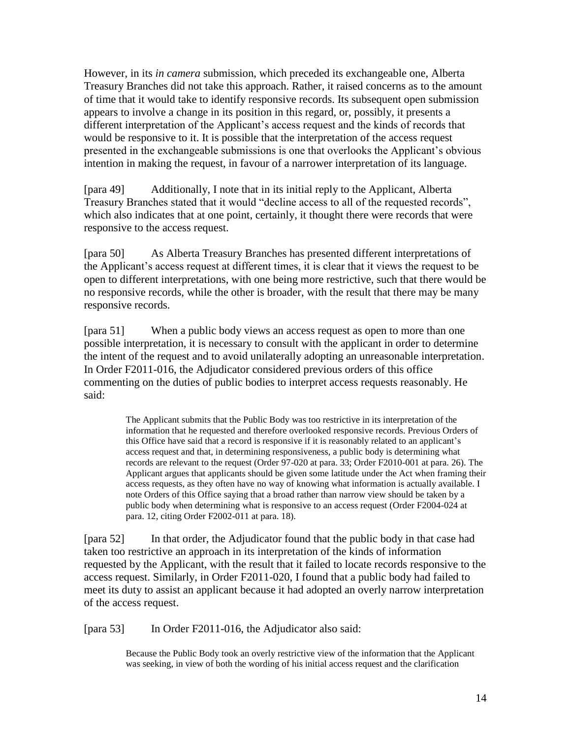However, in its *in camera* submission, which preceded its exchangeable one, Alberta Treasury Branches did not take this approach. Rather, it raised concerns as to the amount of time that it would take to identify responsive records. Its subsequent open submission appears to involve a change in its position in this regard, or, possibly, it presents a different interpretation of the Applicant's access request and the kinds of records that would be responsive to it. It is possible that the interpretation of the access request presented in the exchangeable submissions is one that overlooks the Applicant's obvious intention in making the request, in favour of a narrower interpretation of its language.

[para 49] Additionally, I note that in its initial reply to the Applicant, Alberta Treasury Branches stated that it would "decline access to all of the requested records", which also indicates that at one point, certainly, it thought there were records that were responsive to the access request.

[para 50] As Alberta Treasury Branches has presented different interpretations of the Applicant's access request at different times, it is clear that it views the request to be open to different interpretations, with one being more restrictive, such that there would be no responsive records, while the other is broader, with the result that there may be many responsive records.

[para 51] When a public body views an access request as open to more than one possible interpretation, it is necessary to consult with the applicant in order to determine the intent of the request and to avoid unilaterally adopting an unreasonable interpretation. In Order F2011-016, the Adjudicator considered previous orders of this office commenting on the duties of public bodies to interpret access requests reasonably. He said:

> The Applicant submits that the Public Body was too restrictive in its interpretation of the information that he requested and therefore overlooked responsive records. Previous Orders of this Office have said that a record is responsive if it is reasonably related to an applicant's access request and that, in determining responsiveness, a public body is determining what records are relevant to the request (Order 97-020 at para. 33; Order F2010-001 at para. 26). The Applicant argues that applicants should be given some latitude under the Act when framing their access requests, as they often have no way of knowing what information is actually available. I note Orders of this Office saying that a broad rather than narrow view should be taken by a public body when determining what is responsive to an access request (Order F2004-024 at para. 12, citing Order F2002-011 at para. 18).

[para 52] In that order, the Adjudicator found that the public body in that case had taken too restrictive an approach in its interpretation of the kinds of information requested by the Applicant, with the result that it failed to locate records responsive to the access request. Similarly, in Order F2011-020, I found that a public body had failed to meet its duty to assist an applicant because it had adopted an overly narrow interpretation of the access request.

[para 53] In Order F2011-016, the Adjudicator also said:

Because the Public Body took an overly restrictive view of the information that the Applicant was seeking, in view of both the wording of his initial access request and the clarification